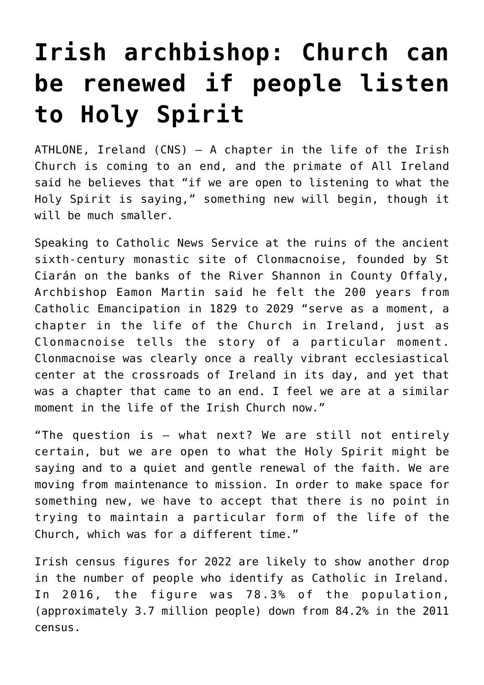## **[Irish archbishop: Church can](https://www.osvnews.com/2022/06/21/irish-archbishop-church-can-be-renewed-if-people-listen-to-holy-spirit/) [be renewed if people listen](https://www.osvnews.com/2022/06/21/irish-archbishop-church-can-be-renewed-if-people-listen-to-holy-spirit/) [to Holy Spirit](https://www.osvnews.com/2022/06/21/irish-archbishop-church-can-be-renewed-if-people-listen-to-holy-spirit/)**

ATHLONE, Ireland (CNS) — A chapter in the life of the Irish Church is coming to an end, and the primate of All Ireland said he believes that "if we are open to listening to what the Holy Spirit is saying," something new will begin, though it will be much smaller.

Speaking to Catholic News Service at the ruins of the ancient sixth-century monastic site of Clonmacnoise, founded by St Ciarán on the banks of the River Shannon in County Offaly, Archbishop Eamon Martin said he felt the 200 years from Catholic Emancipation in 1829 to 2029 "serve as a moment, a chapter in the life of the Church in Ireland, just as Clonmacnoise tells the story of a particular moment. Clonmacnoise was clearly once a really vibrant ecclesiastical center at the crossroads of Ireland in its day, and yet that was a chapter that came to an end. I feel we are at a similar moment in the life of the Irish Church now."

"The question is — what next? We are still not entirely certain, but we are open to what the Holy Spirit might be saying and to a quiet and gentle renewal of the faith. We are moving from maintenance to mission. In order to make space for something new, we have to accept that there is no point in trying to maintain a particular form of the life of the Church, which was for a different time."

Irish census figures for 2022 are likely to show another drop in the number of people who identify as Catholic in Ireland. In 2016, the figure was 78.3% of the population, (approximately 3.7 million people) down from 84.2% in the 2011 census.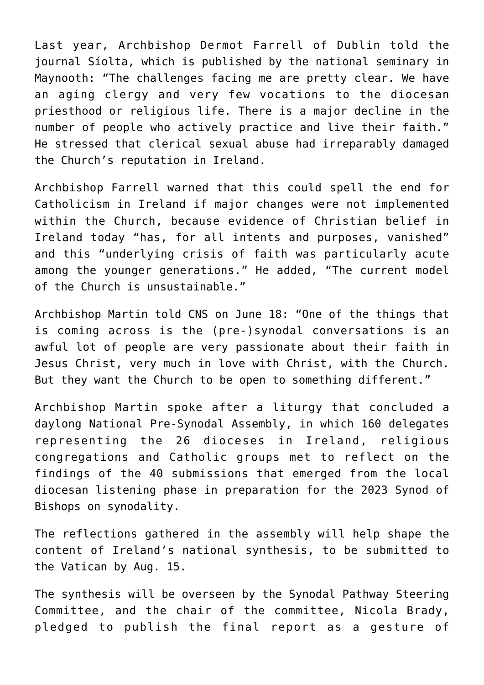Last year, Archbishop Dermot Farrell of Dublin told the journal Síolta, which is published by the national seminary in Maynooth: "The challenges facing me are pretty clear. We have an aging clergy and very few vocations to the diocesan priesthood or religious life. There is a major decline in the number of people who actively practice and live their faith." He stressed that clerical sexual abuse had irreparably damaged the Church's reputation in Ireland.

Archbishop Farrell warned that this could spell the end for Catholicism in Ireland if major changes were not implemented within the Church, because evidence of Christian belief in Ireland today "has, for all intents and purposes, vanished" and this "underlying crisis of faith was particularly acute among the younger generations." He added, "The current model of the Church is unsustainable."

Archbishop Martin told CNS on June 18: "One of the things that is coming across is the (pre-)synodal conversations is an awful lot of people are very passionate about their faith in Jesus Christ, very much in love with Christ, with the Church. But they want the Church to be open to something different."

Archbishop Martin spoke after a liturgy that concluded a daylong National Pre-Synodal Assembly, in which 160 delegates representing the 26 dioceses in Ireland, religious congregations and Catholic groups met to reflect on the findings of the 40 submissions that emerged from the local diocesan listening phase in preparation for the 2023 Synod of Bishops on synodality.

The reflections gathered in the assembly will help shape the content of Ireland's national synthesis, to be submitted to the Vatican by Aug. 15.

The synthesis will be overseen by the Synodal Pathway Steering Committee, and the chair of the committee, Nicola Brady, pledged to publish the final report as a gesture of